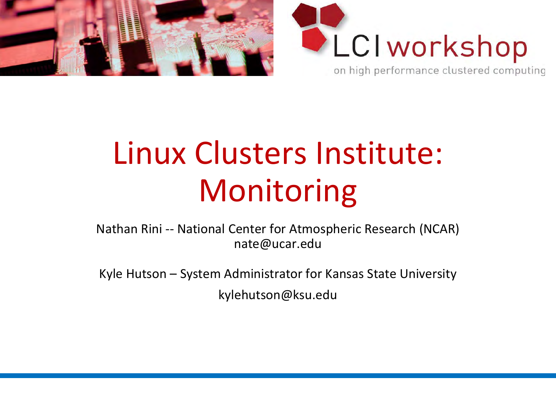



# Linux Clusters Institute: Monitoring

Nathan Rini -- National Center for Atmospheric Research (NCAR) nate@ucar.edu

Kyle Hutson – System Administrator for Kansas State University

kylehutson@ksu.edu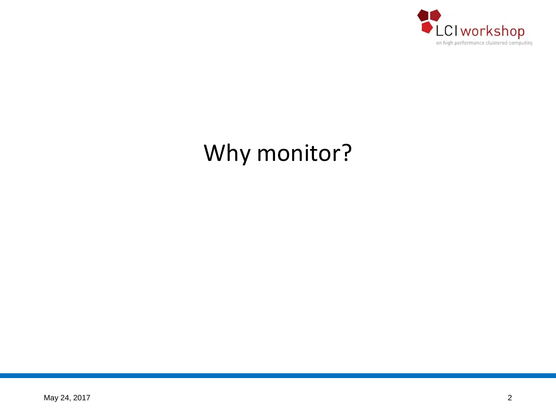

# Why monitor?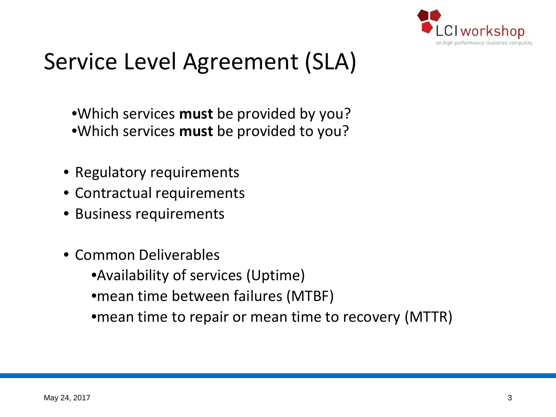

## Service Level Agreement (SLA)

•Which services **must** be provided by you? •Which services **must** be provided to you?

- Regulatory requirements
- Contractual requirements
- Business requirements
- Common Deliverables

•Availability of services (Uptime)

•mean time between failures (MTBF)

•mean time to repair or mean time to recovery (MTTR)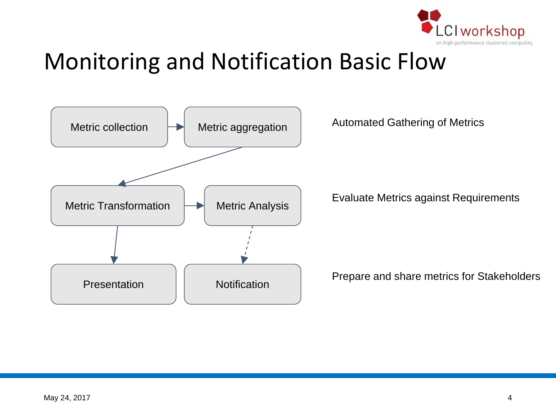

## Monitoring and Notification Basic Flow

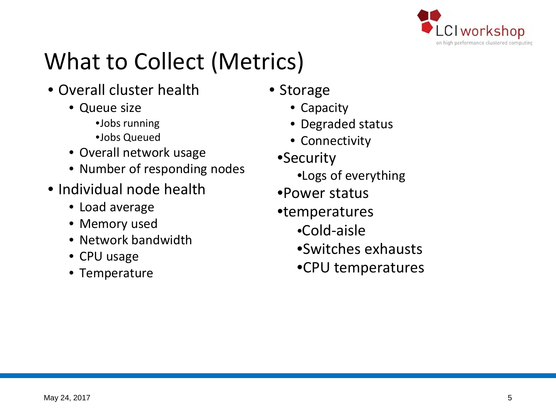

# What to Collect (Metrics)

- Overall cluster health
	- Queue size
		- •Jobs running
		- •Jobs Queued
	- Overall network usage
	- Number of responding nodes
- Individual node health
	- Load average
	- Memory used
	- Network bandwidth
	- CPU usage
	- Temperature
- Storage
	- Capacity
	- Degraded status
	- Connectivity
	- •Security
		- •Logs of everything
	- •Power status
	- •temperatures
		- •Cold-aisle
		- •Switches exhausts
		- •CPU temperatures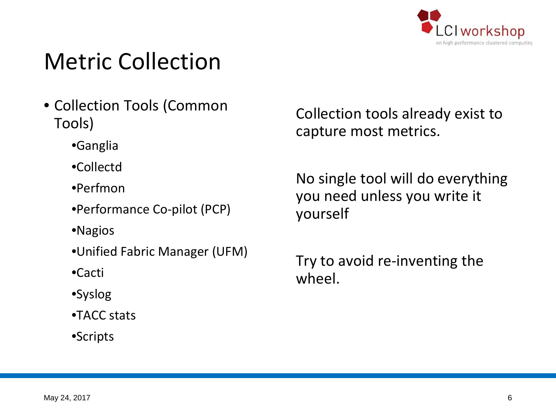

## Metric Collection

- Collection Tools (Common Tools)
	- •Ganglia
	- •Collectd
	- •Perfmon
	- •Performance Co-pilot (PCP)
	- •Nagios
	- •Unified Fabric Manager (UFM)
	- •Cacti
	- •Syslog
	- •TACC stats
	- •Scripts

Collection tools already exist to capture most metrics.

No single tool will do everything you need unless you write it yourself

Try to avoid re-inventing the wheel.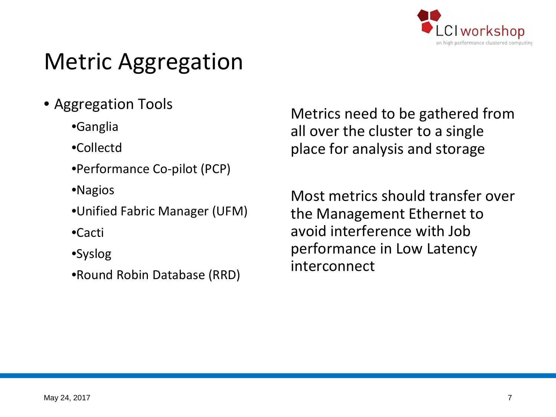

## Metric Aggregation

- Aggregation Tools
	- •Ganglia
	- •Collectd
	- •Performance Co-pilot (PCP)
	- •Nagios
	- •Unified Fabric Manager (UFM)
	- •Cacti
	- •Syslog
	- •Round Robin Database (RRD)

Metrics need to be gathered from all over the cluster to a single place for analysis and storage

Most metrics should transfer over the Management Ethernet to avoid interference with Job performance in Low Latency interconnect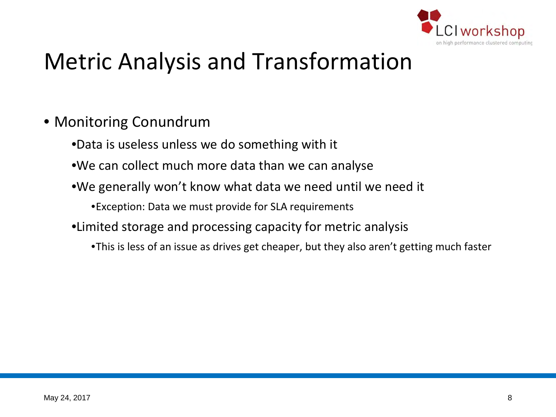

## Metric Analysis and Transformation

- Monitoring Conundrum
	- •Data is useless unless we do something with it
	- •We can collect much more data than we can analyse
	- •We generally won't know what data we need until we need it

•Exception: Data we must provide for SLA requirements

- •Limited storage and processing capacity for metric analysis
	- •This is less of an issue as drives get cheaper, but they also aren't getting much faster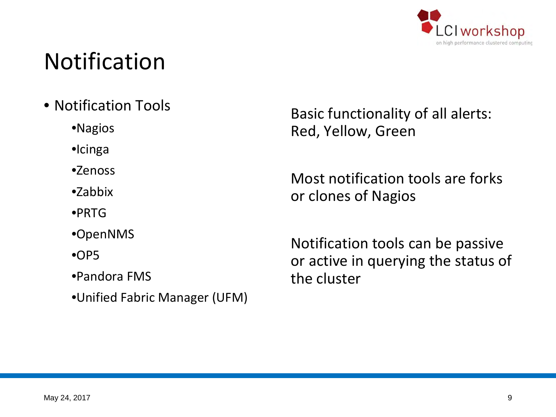

## Notification

- Notification Tools
	- •Nagios
	- •Icinga
	- •Zenoss
	- •Zabbix
	- •PRTG
	- •OpenNMS
	- $^{\circ}$ OP5
	- •Pandora FMS
	- •Unified Fabric Manager (UFM)

Basic functionality of all alerts: Red, Yellow, Green

Most notification tools are forks or clones of Nagios

Notification tools can be passive or active in querying the status of the cluster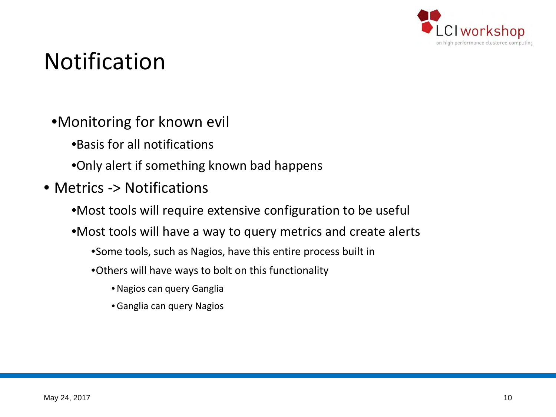

## Notification

- •Monitoring for known evil
	- •Basis for all notifications
	- •Only alert if something known bad happens
- Metrics -> Notifications
	- •Most tools will require extensive configuration to be useful
	- •Most tools will have a way to query metrics and create alerts
		- •Some tools, such as Nagios, have this entire process built in
		- •Others will have ways to bolt on this functionality
			- •Nagios can query Ganglia
			- Ganglia can query Nagios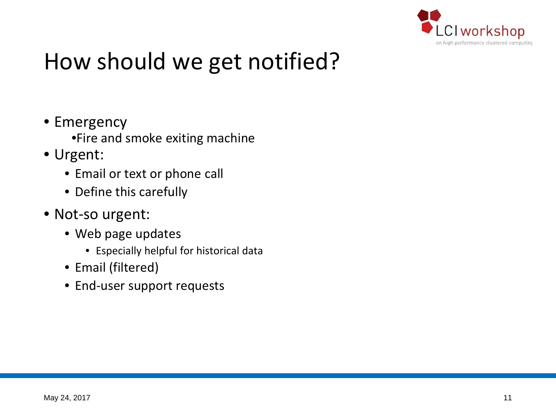

# How should we get notified?

- Emergency
	- •Fire and smoke exiting machine
- Urgent:
	- Email or text or phone call
	- Define this carefully
- Not-so urgent:
	- Web page updates
		- Especially helpful for historical data
	- Email (filtered)
	- End-user support requests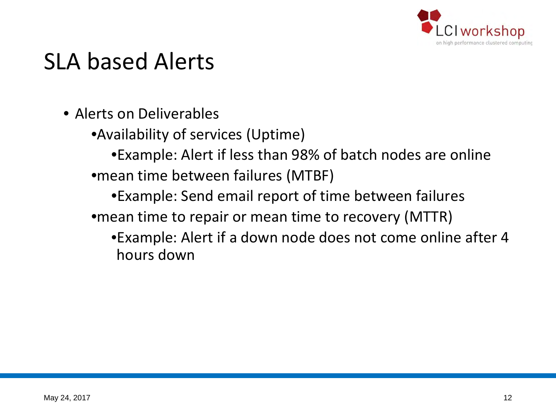

#### SLA based Alerts

- Alerts on Deliverables
	- •Availability of services (Uptime)
	- •Example: Alert if less than 98% of batch nodes are online •mean time between failures (MTBF)
		- •Example: Send email report of time between failures
	- •mean time to repair or mean time to recovery (MTTR)
		- •Example: Alert if a down node does not come online after 4 hours down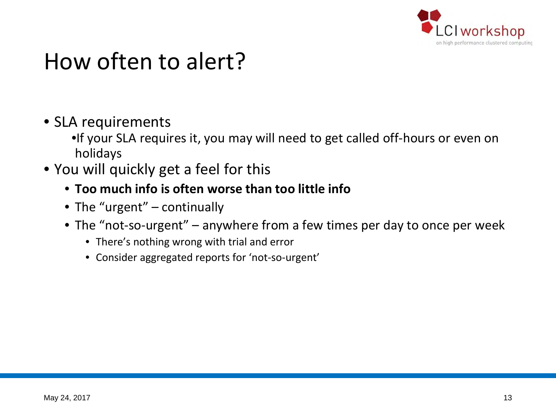

#### How often to alert?

- SLA requirements
	- •If your SLA requires it, you may will need to get called off-hours or even on holidays
- You will quickly get a feel for this
	- **Too much info is often worse than too little info**
	- The "urgent" continually
	- The "not-so-urgent" anywhere from a few times per day to once per week
		- There's nothing wrong with trial and error
		- Consider aggregated reports for 'not-so-urgent'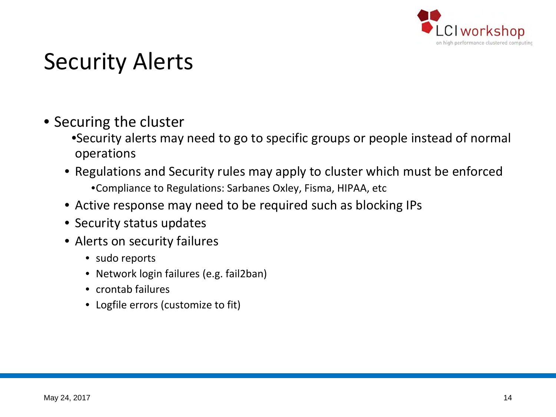

#### Security Alerts

- Securing the cluster
	- •Security alerts may need to go to specific groups or people instead of normal operations
	- Regulations and Security rules may apply to cluster which must be enforced •Compliance to Regulations: Sarbanes Oxley, Fisma, HIPAA, etc
	- Active response may need to be required such as blocking IPs
	- Security status updates
	- Alerts on security failures
		- sudo reports
		- Network login failures (e.g. fail2ban)
		- crontab failures
		- Logfile errors (customize to fit)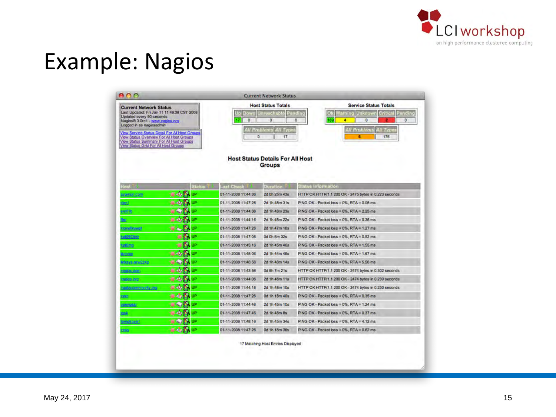

#### Example: Nagios

| <b>Current Network Status</b><br>Last Updated: Fri Jan 11 11:48:38 CST 2008<br>Updated every 90 seconds<br>Nagios® 3.0rc1 - www.nagios.org<br>Logged in as nagiosadmin<br>View Service Status Detail For All Host Groups<br>View Status Overview For All Host Groups<br>View Status Summary For All Host Groups<br>View Status Grid For All Host Groups |    |               | <b>Distr</b><br>$\circ$<br>17<br>٥ | <b>Host Status Totals</b><br><b>Jnruschsble</b><br>o<br><b>M</b> Problems<br>W Type<br>17<br><b>Host Status Details For All Host</b> | <b>Service Status Totals</b><br>Pending<br><b>Jnknown</b><br>Panding<br>mine<br><b>THE</b><br>٥<br>169<br>4<br>o<br>o<br><b>All Problems</b><br>W Type<br>175<br>6 |
|---------------------------------------------------------------------------------------------------------------------------------------------------------------------------------------------------------------------------------------------------------------------------------------------------------------------------------------------------------|----|---------------|------------------------------------|--------------------------------------------------------------------------------------------------------------------------------------|--------------------------------------------------------------------------------------------------------------------------------------------------------------------|
|                                                                                                                                                                                                                                                                                                                                                         |    | <b>Status</b> | <b>Last Chock Time</b>             | <b>Groups</b>                                                                                                                        | <b>Status Information</b>                                                                                                                                          |
| Host <sup>1</sup><br>moo.namey.a                                                                                                                                                                                                                                                                                                                        |    | ÚΡ            | 01-11-2008 11:44:36                | <b>Duration</b><br>2d 0h 25m 43s                                                                                                     | HTTP OK HTTP/1.1 200 OK - 2475 bytes in 0.223 seconds                                                                                                              |
| tevt                                                                                                                                                                                                                                                                                                                                                    |    | JΡ            | 01-11-2006 11:47:26                | 2d 1h 48m 31s                                                                                                                        | PING OK - Packet loss = 0%, RTA = 0.06 ms                                                                                                                          |
| m01b                                                                                                                                                                                                                                                                                                                                                    |    | IP            | 01-11-2008 11:44:36                | 2d 1h 48m 23s                                                                                                                        | PING OK - Packet loss = 0%, RTA = 2.25 ms                                                                                                                          |
| Mt                                                                                                                                                                                                                                                                                                                                                      |    | jÞ            | 01-11-2008 11:44:16                | 2d 1h 48m 22s                                                                                                                        | PING OK - Packet loss = $0\%$ . RTA = $0.38$ ms                                                                                                                    |
| <b>Upwerilennon</b>                                                                                                                                                                                                                                                                                                                                     |    | jp.           | 01-11-2008 11:47:26                | 2d 1h 47m 16s                                                                                                                        | PING OK - Packet loss = 0%, RTA = 1.27 ms                                                                                                                          |
| ol@605de                                                                                                                                                                                                                                                                                                                                                |    | jp            | 01-11-2008 11:47:06                | 0d 0h 6m 32s                                                                                                                         | PING OK - Packet loss = $0\%$ , RTA = $0.52$ ms                                                                                                                    |
| ordina                                                                                                                                                                                                                                                                                                                                                  | P. | JP            | 01-11-2008 11:45:16                | 2d 1h 45m 46s                                                                                                                        | PING OK - Packet loss = 0%, RTA = 1.55 ms                                                                                                                          |
| animin                                                                                                                                                                                                                                                                                                                                                  |    | ſΡ            | 01-11-2008 11:48:06                | 2d 1h 44m 46s                                                                                                                        | PING OK - Packet loss = 0%, RTA = 1.67 ms                                                                                                                          |
| nksys-srw224p                                                                                                                                                                                                                                                                                                                                           |    | jp            | 01-11-2008 11:46:56                | 2d 1h 48m 14s                                                                                                                        | PING OK - Packet loss = 0%, RTA = 5.56 ms                                                                                                                          |
| 100105-0010                                                                                                                                                                                                                                                                                                                                             |    | IP            | 01-11-2008 11:43:56                | 0d 9h 7m 21s                                                                                                                         | HTTP OK HTTP/1.1 200 OK - 2474 bytes in 0.302 seconds                                                                                                              |
| agios.crg                                                                                                                                                                                                                                                                                                                                               |    | jp            | 01-11-2008 11:44:06                | 2d 1h 46m 11s                                                                                                                        | HTTP OK HTTP/1.1 200 OK - 2474 bytes in 0.239 seconds                                                                                                              |
| pro. ylinummunity and                                                                                                                                                                                                                                                                                                                                   |    | JP            | 01-11-2008 11:44:16                | 2d 1h 48m 10s                                                                                                                        | HTTP OK HTTP/1.1 200 OK - 2474 bytes in 0.230 seconds                                                                                                              |
| <b>date</b>                                                                                                                                                                                                                                                                                                                                             |    | JP            | 01-11-2008 11:47:26                | 0d 1h 18m 40s                                                                                                                        | PING OK - Packet loss = 0%, RTA = 0.35 ms                                                                                                                          |
| spongoar                                                                                                                                                                                                                                                                                                                                                |    | (P            | 01-11-2008 11:44:46                | 2d 1h 45m 10s                                                                                                                        | PING OK - Packet loss = 0%, RTA = 1.24 ms                                                                                                                          |
| nsk.                                                                                                                                                                                                                                                                                                                                                    |    | <b>IP</b>     | 01-11-2008 11:47:46                | 2d 1h 48m 8s                                                                                                                         | PING OK - Packet loss = $0\%$ , RTA = $0.37$ ms                                                                                                                    |
|                                                                                                                                                                                                                                                                                                                                                         |    | IP            | 01-11-2008 11:48:16                | 2d 1h 45m 34s                                                                                                                        | PING OK - Packet loss = $0\%$ . RTA = $4.12$ ms                                                                                                                    |
| <b>Sunsanaeti</b>                                                                                                                                                                                                                                                                                                                                       |    | JÞ            | 01-11-2008 11:47:26                | 0d 1h 18m 36s                                                                                                                        | PING OK - Packet loss = $0\%$ , RTA = $0.62$ ms                                                                                                                    |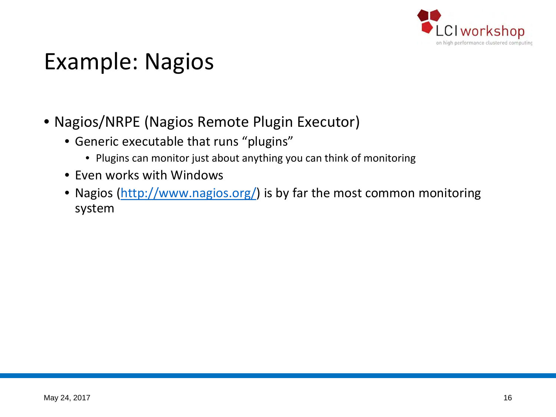

#### Example: Nagios

- Nagios/NRPE (Nagios Remote Plugin Executor)
	- Generic executable that runs "plugins"
		- Plugins can monitor just about anything you can think of monitoring
	- Even works with Windows
	- Nagios [\(http://www.nagios.org/\)](http://www.nagios.org/) is by far the most common monitoring system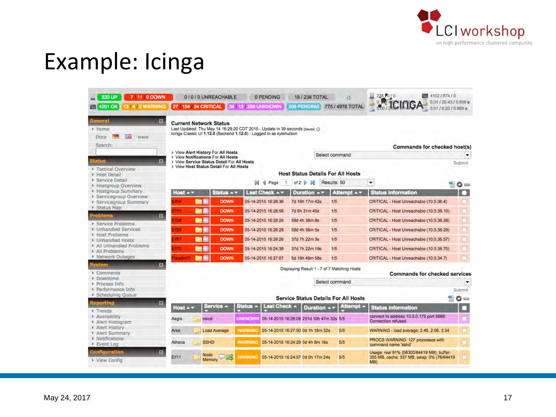

## Example: Icinga

| 7/11/0 DOWN<br>220 UP<br>13/4/0 WARNING<br>4201 OK      |                                                                                       | 0/0/0 UNREACHABLE   | 0 PENDING<br>27 / 154 / 34 CRITICAL 34 / 13 / 288 UNKNOWN                                                                                          | 18 / 238 TOTAL<br><b>208 PENDING</b>        | õ<br>775 / 4976 TOTAL                       | ■ 4102/874/0<br>238,010<br>0.01/20.43/0.509 s                                                  |                |
|---------------------------------------------------------|---------------------------------------------------------------------------------------|---------------------|----------------------------------------------------------------------------------------------------------------------------------------------------|---------------------------------------------|---------------------------------------------|------------------------------------------------------------------------------------------------|----------------|
| ster                                                    |                                                                                       |                     |                                                                                                                                                    |                                             |                                             | 0.01/6.20/0.869 s                                                                              |                |
| $\Box$<br><b>TEFA</b>                                   | <b>Current Network Status</b>                                                         |                     |                                                                                                                                                    |                                             |                                             |                                                                                                |                |
| Home                                                    |                                                                                       |                     | Last Updated: Thu May 14 16:29:20 CDT 2015 - Update in 39 seconds (pause) @<br>Icinga Classic UI 1.12.0 (Backend 1.12.0) - Logged in as kylehutson |                                             |                                             |                                                                                                |                |
| 山高<br>Docs<br><b>WWW</b>                                |                                                                                       |                     |                                                                                                                                                    |                                             |                                             |                                                                                                |                |
| Search:                                                 |                                                                                       |                     |                                                                                                                                                    |                                             |                                             | <b>Commands for checked host(s)</b>                                                            |                |
|                                                         | ▶ View Alert History For All Hosts<br>▶ View Notifications For All Hosts              |                     |                                                                                                                                                    |                                             | Select command                              |                                                                                                |                |
| <b>Fatus</b><br>E                                       | ▶ View Service Status Detail For All Hosts<br>▶ View Host Status Detail For All Hosts |                     |                                                                                                                                                    |                                             |                                             |                                                                                                | Submit         |
| Tactical Overview<br>Host Detail                        |                                                                                       |                     |                                                                                                                                                    | <b>Host Status Details For All Hosts</b>    |                                             |                                                                                                |                |
| <b>E</b> Service Detail<br><b>E</b> Hostgroup Overview  |                                                                                       |                     | м<br>Page<br>$\mathbf{f}$<br>я                                                                                                                     | of $2 \triangleright$ $\triangleright$      | Results: 50                                 | $\blacktriangledown$<br>Ħ                                                                      | $\bullet$      |
| ▶ Hostgroup Summary<br>▶ Servicegroup Overview          | Host $-$                                                                              | Status A v          | Last Check Av                                                                                                                                      | Duration $\rightarrow \infty$               | Attempt $\rightarrow \tau$                  | <b>Status Information</b>                                                                      | $\overline{a}$ |
| ▶ Servicegroup Summary                                  | an<br><b>Eff04</b>                                                                    | <b>DOWN</b>         | 05-14-2015 16:28:36                                                                                                                                | 7d 16h 17m 42s                              | 1/5                                         | CRITICAL - Host Unreachable (10.5.36.4)                                                        | a              |
| ▶ Status Map                                            | mn<br><b>Eff10</b>                                                                    | <b>DOWN</b>         | 05-14-2015 16:28:56                                                                                                                                | 7d 6h 31m 45s                               | 1/5                                         | CRITICAL - Host Unreachable (10.5.36.10)                                                       | $\Box$         |
| roblema<br>$\blacksquare$<br>Service Problems           | <b>PIB</b><br><b>EIf28</b>                                                            | <b>DOWN</b>         | 05-14-2015 16:28:26                                                                                                                                | 59d 4h 38m 8s                               | 1/5                                         | CRITICAL - Host Unreachable (10.5.36.28)                                                       | $\Box$         |
| ▶ Unhandled Services                                    | <b>Prime</b><br>H29                                                                   | <b>DOWN</b>         | 05-14-2015 16:28:26                                                                                                                                | 59d 4h 38m 5s                               | 1/5                                         | CRITICAL - Host Unreachable (10.5.36.29)                                                       | $\Box$         |
| Host Problems<br>▶ Unhandled Hosts                      | 融商<br><b>EN57</b>                                                                     | <b>DOWN</b>         | 05-14-2015 16:28:26                                                                                                                                | 37d 7h 22m 3s                               | 1/5                                         | CRITICAL - Host Unreachable (10.5.36.57)                                                       | $\Box$         |
| All Unhandled Problems<br>$\triangleright$ All Problems | 唐蘭<br><b>EIF70</b>                                                                    | <b>DOWN</b>         | 05-14-2015 16:24:39                                                                                                                                | 37d 7h 22m 19s                              | 1/5                                         | CRITICAL - Host Unreachable (10.5.36.70)                                                       | $\Box$         |
| ▶ Network Outages                                       | P<br>Paladin07                                                                        | <b>DOWN</b>         | 05-14-2015 16:27:07                                                                                                                                | 5d 19h 48m 58s                              | 1/5                                         | CRITICAL - Host Unreachable (10.5.34.7)                                                        | $\Box$         |
| $\Box$<br>tem                                           |                                                                                       |                     |                                                                                                                                                    | Displaying Result 1 - 7 of 7 Matching Hosts |                                             |                                                                                                |                |
| Comments<br>Downtime                                    |                                                                                       |                     |                                                                                                                                                    |                                             |                                             | <b>Commands for checked services</b>                                                           |                |
| Process Info                                            |                                                                                       |                     |                                                                                                                                                    |                                             | Select command                              |                                                                                                | ▼              |
| Performance Info<br><b>E</b> Scheduling Queue           |                                                                                       |                     |                                                                                                                                                    |                                             |                                             |                                                                                                | Submit         |
| eporting<br>$\Box$                                      |                                                                                       |                     |                                                                                                                                                    |                                             | <b>Service Status Details For All Hosts</b> |                                                                                                | 0              |
| Trends                                                  | Host $\sim$                                                                           | Service -           | Status $\sim$<br>Last Check A                                                                                                                      | Duration <b>A</b>                           | Attempt ~                                   | <b>Status Information</b>                                                                      | о              |
| Availability<br>Alert Histogram                         | Aegle                                                                                 | nslcd               | <b>UNKNOWN</b>                                                                                                                                     | 05-14-2015 16:28:09 231d 10h 47m 32s 5/5    |                                             | connect to address 10.5.0.175 port 5666.<br><b>Connection refused</b>                          |                |
| Alert History<br>Alert Summary                          | Arke                                                                                  | <b>Load Average</b> | <b>WARNING</b>                                                                                                                                     | 05-14-2015 16:27:50 0d 1h 16m 32s           | 5/5                                         | WARNING - load average: 2.45, 2.96, 3.34                                                       | $\Box$         |
| <b>K</b> Notifications<br>Event Log                     | F<br>Athena                                                                           | <b>SSHD</b>         | <b>WARNING</b>                                                                                                                                     | 05-14-2015 16:24:29 0d 4h 8m 16s            | 5/5                                         | PROCS WARNING: 127 processes with<br>command name 'sshd'                                       | $\Box$         |
| <b>Configuration</b><br>同<br>View Config                | Eif11                                                                                 | Node<br>Memory      | WARNING 05-14-2015 16:24:57 0d 0h 17m 24s                                                                                                          |                                             | 5/5                                         | Usage: real 91% (58300/64419 MB), buffer:<br>355 MB, cache: 337 MB, swap: 0% (76/64419)<br>MB) | œ              |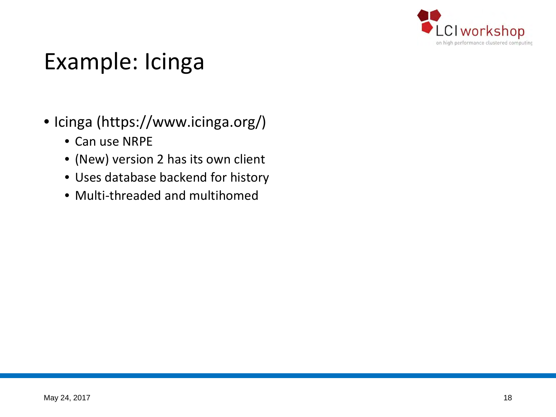

### Example: Icinga

- Icinga (https://www.icinga.org/)
	- Can use NRPE
	- (New) version 2 has its own client
	- Uses database backend for history
	- Multi-threaded and multihomed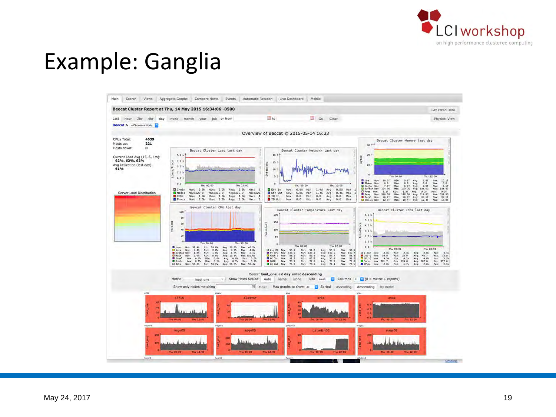

#### Example: Ganglia

| t<br>in Go Clear<br>hour 2hr 4hr<br>day week month year job or from<br>Overview of Beocat @ 2015-05-14 16:33<br>CPUs Total:<br>4639<br>Beocat Cluster Memory last day<br>221<br>Hosts up:<br>30 T<br>Hosts down:<br>o<br>Beocat Cluster Load last day<br>Beocat Cluster Network last day<br>5.0 h <sup>4</sup><br>20.6<br>20.1<br>Bytes<br>Current Load Avg (15, 5, 1m):<br>62%, 62%, 62%<br>4.03<br>š,<br>150<br>Bytes/sec<br>Avg Utilization (last day):<br>10 <sup>1</sup><br>Loads/Pr<br>0.0.1<br>61%<br>10 G<br>2.0<br>b.<br>5 <sub>0</sub><br>Thu 00:00<br>Thu: 12:00<br>1.01<br>min:<br>9.67<br>9.8T<br><b>B</b> Use<br>10.01<br>Avg.<br>Max:<br>10.17<br>Now<br><b>B</b> Share<br>Min:<br>5, 0<br>0, 0<br>0, 0<br>Maw<br>0, 0<br>Avg<br>Mass:<br>0.0<br>$\mathbf{D}$<br>Thu 00:00<br>Thu 12:00<br>Thu 00.00<br>Thu 12.00<br><b>B</b> cache<br>Now.<br>7.01<br>6. ST<br>7.01<br>max:<br>7.11<br>min.<br>Avg.<br><b>D</b> Buffer Now:<br>Min: 133.70<br>134.40<br>134.35<br>Avg. 134.00<br>Max:<br>$1 - min$<br>Now: 2.6k<br>Min:<br>2.3k<br>Avg: 2.8k<br><b>U</b> Eth In<br>6.86<br>Min: 1.4G<br>Avg: 0.5G<br>Мах: 3.<br>Now:<br>Max:<br>O Free Nov.<br>9.17<br>8.9T<br>9.51<br><b>Minc</b><br>9.27<br>Avg.<br>Flax.<br>Server Load Distribution<br>Nodes <sup>1</sup><br>Nov: 220.0<br>Min: 219.0<br>Max: 220.<br>Eth Out<br>Nows<br>6.06<br>Min: 1.46<br>Avg: 8.4G<br>Avg: 219.9<br>Max:<br>$\mathbf{d}$<br>New: 210.70<br><b>B</b> Swap<br>Min: 188.20 Avg 211.80<br>Max: 336.90<br><b>D</b> CPUs<br>Nov: 4.6k<br>Man:<br>4.6k<br>Avg: 4.6k<br>Max:<br>$A$ .<br>$B$ IB In<br>Now:<br>0.0<br>Min: 0.0<br>Avg: 0.0<br>Max:<br>26.17<br>d Total<br>Now:<br>26.17<br>Min: 26.07 Avg: 26.17<br>Min: 10.47 Avg: 12.47<br>Plax:<br><b>Procs</b><br>Nov: 2.3k Min: 2.2k<br>Avg: 2.3k<br>Hax: 2.<br>IB Out<br>Now<br>0.0<br>Min: 0.0<br>Avg: 0.0<br>Max:<br>SGE-A1 Nov: 12.3T<br>Max: 13.8T<br>Beocat Cluster CPU last day<br>Beocat Cluster Temperature last day<br>Beocat Cluster Jobs last day<br>100<br>200<br>6.9.1<br>80<br>5.0.1<br>150<br>Percent<br>enheit<br>60<br>ğ<br>4.01<br>100<br>40<br>Jobs/Pr<br>2.0.1<br>ž<br>20<br>2.0<br>50<br>o.<br>1.01<br>Thu 12:00<br>Thu 00:00<br>n.<br>Thu 12:00<br>Thu 00 00<br><b>B</b> User<br>Nov. 37 4%<br>Hin: 33.0%<br>kvg: 36.9%<br>Hax: 40.2%<br>0.01<br>Thu 00:00<br>Thu 12:00<br><b>D</b> Nice<br>Now<br>3.45<br>Hiri.<br>3.8V<br>3.76<br>Hax: 4.6%<br>L3 Avg MB<br>95.3<br>Min: 34.0<br>95.5<br>Ava:<br>Now.<br>Avg.<br>Max:<br>37.6<br>Hax 2.1%<br><b>B</b> Av OPU<br>Nov 140.2<br>Min: 137 2<br>140.1<br>Max: 142.7<br>2.8k<br>System Now<br>1.05<br>Hin<br>1.01<br>1.05<br><b>Avg</b><br>$\Box$ 1-min<br>2.86<br>Hin-<br>2.3k<br>Hour<br>3.41<br>Avg.<br><b>Now</b><br>Avg:<br><b>D</b> Wait<br>C Rack 5 Nov.<br>86.8<br>72.9<br>Now.<br>2.0%<br><b>Harr</b> 0.6%<br>Avg. 10.3%<br>Max: 631.6%<br>88.1<br>Min.<br>87.7<br>Max.<br>88. 5<br>$0$ dot $0$<br>Now.<br>34.0<br>Min: 28.0<br>40.7<br>Hax.<br>Avg.<br>Avg.<br>05.0<br>$C$ cru $Q$<br>4.6k<br><b>M</b> Steal<br>0.95<br>0.0%<br><b>E</b> AC In<br>Now:<br>91.2<br>30.6<br>Max: 51.5<br>$-4.3k$<br>3.26<br>Now:<br>Hin:<br>Avg 0.0%<br>Hay: 0.0%<br>Min<br>Now:<br>Hin:<br>4.2k<br>Hax:<br>Avg:<br>Avg:<br>0.35<br>Man: 0.2%<br>B NOIR<br>Now.<br>72.6<br>73.2<br>Nov. 281.7<br>Min. 239.0<br>Avg 287.0<br>Max: 317.0<br><b>B</b> Sinte<br>Now:<br>0.11<br>Nov. 0.25<br>73.2<br>Han:<br>Max: 73 6<br>$J$ obs<br>Avg.<br>Avg.<br>$n$ and $n$<br><b>D</b> AC Out New<br>74.9<br>73.2<br>Now 55.3%<br><b>Hav: 53.25</b><br>Aug. 55. Oh.<br>Haz 55.4%<br>74.4<br><b>D</b> CPUs<br>Min<br>Avg<br>Max:<br>75.1<br><b>2.06</b><br>Hin:<br>2.76<br>Aug 2.0k<br>Majo1<br>2.1k<br>New:<br>Beocat load_one last day sorted descending<br>Metric<br>Show Hosts Scaled: Auto<br>Same<br>Size small<br>Columns $\rightarrow$ $\leftarrow$ (0 = metric + reports)<br>None<br>load one<br>E Filter<br>Show only nodes matching<br>Max graphs to show as<br><b>Sorted</b><br>ascending<br>descending by name<br>$+720$<br>arax<br><b><i><u>Rivition</u></i></b><br>alfsa<br>alastor<br>arks:<br><b>Artist</b><br>٠<br>4.8<br>×<br>2.9<br>16<br>Thu 12 D.<br>Thu 00100<br>The 12.00<br>TRAI-1001-100<br>This 00:00<br>Thur 12:00<br>Paul 00/100<br>TNJ 12100<br>pelsonoz<br>magets.<br>magest<br>megels<br>paladin02<br>magnon<br>mage <sup>65</sup><br>nuge <sup>03</sup><br><b>COM</b><br>10<br>10 |                         | Beocat Cluster Report at Thu, 14 May 2015 16:34:06 -0500 |        |           | Get Fresh Data |
|-----------------------------------------------------------------------------------------------------------------------------------------------------------------------------------------------------------------------------------------------------------------------------------------------------------------------------------------------------------------------------------------------------------------------------------------------------------------------------------------------------------------------------------------------------------------------------------------------------------------------------------------------------------------------------------------------------------------------------------------------------------------------------------------------------------------------------------------------------------------------------------------------------------------------------------------------------------------------------------------------------------------------------------------------------------------------------------------------------------------------------------------------------------------------------------------------------------------------------------------------------------------------------------------------------------------------------------------------------------------------------------------------------------------------------------------------------------------------------------------------------------------------------------------------------------------------------------------------------------------------------------------------------------------------------------------------------------------------------------------------------------------------------------------------------------------------------------------------------------------------------------------------------------------------------------------------------------------------------------------------------------------------------------------------------------------------------------------------------------------------------------------------------------------------------------------------------------------------------------------------------------------------------------------------------------------------------------------------------------------------------------------------------------------------------------------------------------------------------------------------------------------------------------------------------------------------------------------------------------------------------------------------------------------------------------------------------------------------------------------------------------------------------------------------------------------------------------------------------------------------------------------------------------------------------------------------------------------------------------------------------------------------------------------------------------------------------------------------------------------------------------------------------------------------------------------------------------------------------------------------------------------------------------------------------------------------------------------------------------------------------------------------------------------------------------------------------------------------------------------------------------------------------------------------------------------------------------------------------------------------------------------------------------------------------------------------------------------------------------------------------------------------------------------------------------------------------------------------------------------------------------------------------------------------------------------------------------------------------------------------------------------------------------------------------------------------------------------------------------------------------------------------------------------------------------------------------------------------------------------------------------------------------------------------------------------------------------------------------------------------------------------------------|-------------------------|----------------------------------------------------------|--------|-----------|----------------|
|                                                                                                                                                                                                                                                                                                                                                                                                                                                                                                                                                                                                                                                                                                                                                                                                                                                                                                                                                                                                                                                                                                                                                                                                                                                                                                                                                                                                                                                                                                                                                                                                                                                                                                                                                                                                                                                                                                                                                                                                                                                                                                                                                                                                                                                                                                                                                                                                                                                                                                                                                                                                                                                                                                                                                                                                                                                                                                                                                                                                                                                                                                                                                                                                                                                                                                                                                                                                                                                                                                                                                                                                                                                                                                                                                                                                                                                                                                                                                                                                                                                                                                                                                                                                                                                                                                                                                                                                     | Last                    |                                                          |        |           | Physical View  |
|                                                                                                                                                                                                                                                                                                                                                                                                                                                                                                                                                                                                                                                                                                                                                                                                                                                                                                                                                                                                                                                                                                                                                                                                                                                                                                                                                                                                                                                                                                                                                                                                                                                                                                                                                                                                                                                                                                                                                                                                                                                                                                                                                                                                                                                                                                                                                                                                                                                                                                                                                                                                                                                                                                                                                                                                                                                                                                                                                                                                                                                                                                                                                                                                                                                                                                                                                                                                                                                                                                                                                                                                                                                                                                                                                                                                                                                                                                                                                                                                                                                                                                                                                                                                                                                                                                                                                                                                     | Beocat > -Choose a Node |                                                          |        |           |                |
|                                                                                                                                                                                                                                                                                                                                                                                                                                                                                                                                                                                                                                                                                                                                                                                                                                                                                                                                                                                                                                                                                                                                                                                                                                                                                                                                                                                                                                                                                                                                                                                                                                                                                                                                                                                                                                                                                                                                                                                                                                                                                                                                                                                                                                                                                                                                                                                                                                                                                                                                                                                                                                                                                                                                                                                                                                                                                                                                                                                                                                                                                                                                                                                                                                                                                                                                                                                                                                                                                                                                                                                                                                                                                                                                                                                                                                                                                                                                                                                                                                                                                                                                                                                                                                                                                                                                                                                                     |                         |                                                          |        |           |                |
|                                                                                                                                                                                                                                                                                                                                                                                                                                                                                                                                                                                                                                                                                                                                                                                                                                                                                                                                                                                                                                                                                                                                                                                                                                                                                                                                                                                                                                                                                                                                                                                                                                                                                                                                                                                                                                                                                                                                                                                                                                                                                                                                                                                                                                                                                                                                                                                                                                                                                                                                                                                                                                                                                                                                                                                                                                                                                                                                                                                                                                                                                                                                                                                                                                                                                                                                                                                                                                                                                                                                                                                                                                                                                                                                                                                                                                                                                                                                                                                                                                                                                                                                                                                                                                                                                                                                                                                                     |                         |                                                          |        |           |                |
|                                                                                                                                                                                                                                                                                                                                                                                                                                                                                                                                                                                                                                                                                                                                                                                                                                                                                                                                                                                                                                                                                                                                                                                                                                                                                                                                                                                                                                                                                                                                                                                                                                                                                                                                                                                                                                                                                                                                                                                                                                                                                                                                                                                                                                                                                                                                                                                                                                                                                                                                                                                                                                                                                                                                                                                                                                                                                                                                                                                                                                                                                                                                                                                                                                                                                                                                                                                                                                                                                                                                                                                                                                                                                                                                                                                                                                                                                                                                                                                                                                                                                                                                                                                                                                                                                                                                                                                                     |                         |                                                          |        |           |                |
|                                                                                                                                                                                                                                                                                                                                                                                                                                                                                                                                                                                                                                                                                                                                                                                                                                                                                                                                                                                                                                                                                                                                                                                                                                                                                                                                                                                                                                                                                                                                                                                                                                                                                                                                                                                                                                                                                                                                                                                                                                                                                                                                                                                                                                                                                                                                                                                                                                                                                                                                                                                                                                                                                                                                                                                                                                                                                                                                                                                                                                                                                                                                                                                                                                                                                                                                                                                                                                                                                                                                                                                                                                                                                                                                                                                                                                                                                                                                                                                                                                                                                                                                                                                                                                                                                                                                                                                                     |                         |                                                          |        |           |                |
|                                                                                                                                                                                                                                                                                                                                                                                                                                                                                                                                                                                                                                                                                                                                                                                                                                                                                                                                                                                                                                                                                                                                                                                                                                                                                                                                                                                                                                                                                                                                                                                                                                                                                                                                                                                                                                                                                                                                                                                                                                                                                                                                                                                                                                                                                                                                                                                                                                                                                                                                                                                                                                                                                                                                                                                                                                                                                                                                                                                                                                                                                                                                                                                                                                                                                                                                                                                                                                                                                                                                                                                                                                                                                                                                                                                                                                                                                                                                                                                                                                                                                                                                                                                                                                                                                                                                                                                                     |                         |                                                          |        |           |                |
|                                                                                                                                                                                                                                                                                                                                                                                                                                                                                                                                                                                                                                                                                                                                                                                                                                                                                                                                                                                                                                                                                                                                                                                                                                                                                                                                                                                                                                                                                                                                                                                                                                                                                                                                                                                                                                                                                                                                                                                                                                                                                                                                                                                                                                                                                                                                                                                                                                                                                                                                                                                                                                                                                                                                                                                                                                                                                                                                                                                                                                                                                                                                                                                                                                                                                                                                                                                                                                                                                                                                                                                                                                                                                                                                                                                                                                                                                                                                                                                                                                                                                                                                                                                                                                                                                                                                                                                                     |                         |                                                          |        |           |                |
|                                                                                                                                                                                                                                                                                                                                                                                                                                                                                                                                                                                                                                                                                                                                                                                                                                                                                                                                                                                                                                                                                                                                                                                                                                                                                                                                                                                                                                                                                                                                                                                                                                                                                                                                                                                                                                                                                                                                                                                                                                                                                                                                                                                                                                                                                                                                                                                                                                                                                                                                                                                                                                                                                                                                                                                                                                                                                                                                                                                                                                                                                                                                                                                                                                                                                                                                                                                                                                                                                                                                                                                                                                                                                                                                                                                                                                                                                                                                                                                                                                                                                                                                                                                                                                                                                                                                                                                                     |                         |                                                          |        |           |                |
|                                                                                                                                                                                                                                                                                                                                                                                                                                                                                                                                                                                                                                                                                                                                                                                                                                                                                                                                                                                                                                                                                                                                                                                                                                                                                                                                                                                                                                                                                                                                                                                                                                                                                                                                                                                                                                                                                                                                                                                                                                                                                                                                                                                                                                                                                                                                                                                                                                                                                                                                                                                                                                                                                                                                                                                                                                                                                                                                                                                                                                                                                                                                                                                                                                                                                                                                                                                                                                                                                                                                                                                                                                                                                                                                                                                                                                                                                                                                                                                                                                                                                                                                                                                                                                                                                                                                                                                                     |                         |                                                          |        |           |                |
|                                                                                                                                                                                                                                                                                                                                                                                                                                                                                                                                                                                                                                                                                                                                                                                                                                                                                                                                                                                                                                                                                                                                                                                                                                                                                                                                                                                                                                                                                                                                                                                                                                                                                                                                                                                                                                                                                                                                                                                                                                                                                                                                                                                                                                                                                                                                                                                                                                                                                                                                                                                                                                                                                                                                                                                                                                                                                                                                                                                                                                                                                                                                                                                                                                                                                                                                                                                                                                                                                                                                                                                                                                                                                                                                                                                                                                                                                                                                                                                                                                                                                                                                                                                                                                                                                                                                                                                                     |                         |                                                          |        |           |                |
|                                                                                                                                                                                                                                                                                                                                                                                                                                                                                                                                                                                                                                                                                                                                                                                                                                                                                                                                                                                                                                                                                                                                                                                                                                                                                                                                                                                                                                                                                                                                                                                                                                                                                                                                                                                                                                                                                                                                                                                                                                                                                                                                                                                                                                                                                                                                                                                                                                                                                                                                                                                                                                                                                                                                                                                                                                                                                                                                                                                                                                                                                                                                                                                                                                                                                                                                                                                                                                                                                                                                                                                                                                                                                                                                                                                                                                                                                                                                                                                                                                                                                                                                                                                                                                                                                                                                                                                                     |                         |                                                          |        |           |                |
|                                                                                                                                                                                                                                                                                                                                                                                                                                                                                                                                                                                                                                                                                                                                                                                                                                                                                                                                                                                                                                                                                                                                                                                                                                                                                                                                                                                                                                                                                                                                                                                                                                                                                                                                                                                                                                                                                                                                                                                                                                                                                                                                                                                                                                                                                                                                                                                                                                                                                                                                                                                                                                                                                                                                                                                                                                                                                                                                                                                                                                                                                                                                                                                                                                                                                                                                                                                                                                                                                                                                                                                                                                                                                                                                                                                                                                                                                                                                                                                                                                                                                                                                                                                                                                                                                                                                                                                                     |                         |                                                          |        |           |                |
|                                                                                                                                                                                                                                                                                                                                                                                                                                                                                                                                                                                                                                                                                                                                                                                                                                                                                                                                                                                                                                                                                                                                                                                                                                                                                                                                                                                                                                                                                                                                                                                                                                                                                                                                                                                                                                                                                                                                                                                                                                                                                                                                                                                                                                                                                                                                                                                                                                                                                                                                                                                                                                                                                                                                                                                                                                                                                                                                                                                                                                                                                                                                                                                                                                                                                                                                                                                                                                                                                                                                                                                                                                                                                                                                                                                                                                                                                                                                                                                                                                                                                                                                                                                                                                                                                                                                                                                                     |                         |                                                          |        |           |                |
|                                                                                                                                                                                                                                                                                                                                                                                                                                                                                                                                                                                                                                                                                                                                                                                                                                                                                                                                                                                                                                                                                                                                                                                                                                                                                                                                                                                                                                                                                                                                                                                                                                                                                                                                                                                                                                                                                                                                                                                                                                                                                                                                                                                                                                                                                                                                                                                                                                                                                                                                                                                                                                                                                                                                                                                                                                                                                                                                                                                                                                                                                                                                                                                                                                                                                                                                                                                                                                                                                                                                                                                                                                                                                                                                                                                                                                                                                                                                                                                                                                                                                                                                                                                                                                                                                                                                                                                                     |                         |                                                          |        |           |                |
|                                                                                                                                                                                                                                                                                                                                                                                                                                                                                                                                                                                                                                                                                                                                                                                                                                                                                                                                                                                                                                                                                                                                                                                                                                                                                                                                                                                                                                                                                                                                                                                                                                                                                                                                                                                                                                                                                                                                                                                                                                                                                                                                                                                                                                                                                                                                                                                                                                                                                                                                                                                                                                                                                                                                                                                                                                                                                                                                                                                                                                                                                                                                                                                                                                                                                                                                                                                                                                                                                                                                                                                                                                                                                                                                                                                                                                                                                                                                                                                                                                                                                                                                                                                                                                                                                                                                                                                                     |                         |                                                          |        |           |                |
|                                                                                                                                                                                                                                                                                                                                                                                                                                                                                                                                                                                                                                                                                                                                                                                                                                                                                                                                                                                                                                                                                                                                                                                                                                                                                                                                                                                                                                                                                                                                                                                                                                                                                                                                                                                                                                                                                                                                                                                                                                                                                                                                                                                                                                                                                                                                                                                                                                                                                                                                                                                                                                                                                                                                                                                                                                                                                                                                                                                                                                                                                                                                                                                                                                                                                                                                                                                                                                                                                                                                                                                                                                                                                                                                                                                                                                                                                                                                                                                                                                                                                                                                                                                                                                                                                                                                                                                                     |                         |                                                          |        |           |                |
|                                                                                                                                                                                                                                                                                                                                                                                                                                                                                                                                                                                                                                                                                                                                                                                                                                                                                                                                                                                                                                                                                                                                                                                                                                                                                                                                                                                                                                                                                                                                                                                                                                                                                                                                                                                                                                                                                                                                                                                                                                                                                                                                                                                                                                                                                                                                                                                                                                                                                                                                                                                                                                                                                                                                                                                                                                                                                                                                                                                                                                                                                                                                                                                                                                                                                                                                                                                                                                                                                                                                                                                                                                                                                                                                                                                                                                                                                                                                                                                                                                                                                                                                                                                                                                                                                                                                                                                                     |                         |                                                          |        |           |                |
|                                                                                                                                                                                                                                                                                                                                                                                                                                                                                                                                                                                                                                                                                                                                                                                                                                                                                                                                                                                                                                                                                                                                                                                                                                                                                                                                                                                                                                                                                                                                                                                                                                                                                                                                                                                                                                                                                                                                                                                                                                                                                                                                                                                                                                                                                                                                                                                                                                                                                                                                                                                                                                                                                                                                                                                                                                                                                                                                                                                                                                                                                                                                                                                                                                                                                                                                                                                                                                                                                                                                                                                                                                                                                                                                                                                                                                                                                                                                                                                                                                                                                                                                                                                                                                                                                                                                                                                                     |                         |                                                          |        |           |                |
|                                                                                                                                                                                                                                                                                                                                                                                                                                                                                                                                                                                                                                                                                                                                                                                                                                                                                                                                                                                                                                                                                                                                                                                                                                                                                                                                                                                                                                                                                                                                                                                                                                                                                                                                                                                                                                                                                                                                                                                                                                                                                                                                                                                                                                                                                                                                                                                                                                                                                                                                                                                                                                                                                                                                                                                                                                                                                                                                                                                                                                                                                                                                                                                                                                                                                                                                                                                                                                                                                                                                                                                                                                                                                                                                                                                                                                                                                                                                                                                                                                                                                                                                                                                                                                                                                                                                                                                                     |                         |                                                          |        |           |                |
|                                                                                                                                                                                                                                                                                                                                                                                                                                                                                                                                                                                                                                                                                                                                                                                                                                                                                                                                                                                                                                                                                                                                                                                                                                                                                                                                                                                                                                                                                                                                                                                                                                                                                                                                                                                                                                                                                                                                                                                                                                                                                                                                                                                                                                                                                                                                                                                                                                                                                                                                                                                                                                                                                                                                                                                                                                                                                                                                                                                                                                                                                                                                                                                                                                                                                                                                                                                                                                                                                                                                                                                                                                                                                                                                                                                                                                                                                                                                                                                                                                                                                                                                                                                                                                                                                                                                                                                                     |                         |                                                          |        |           |                |
|                                                                                                                                                                                                                                                                                                                                                                                                                                                                                                                                                                                                                                                                                                                                                                                                                                                                                                                                                                                                                                                                                                                                                                                                                                                                                                                                                                                                                                                                                                                                                                                                                                                                                                                                                                                                                                                                                                                                                                                                                                                                                                                                                                                                                                                                                                                                                                                                                                                                                                                                                                                                                                                                                                                                                                                                                                                                                                                                                                                                                                                                                                                                                                                                                                                                                                                                                                                                                                                                                                                                                                                                                                                                                                                                                                                                                                                                                                                                                                                                                                                                                                                                                                                                                                                                                                                                                                                                     |                         |                                                          |        |           |                |
|                                                                                                                                                                                                                                                                                                                                                                                                                                                                                                                                                                                                                                                                                                                                                                                                                                                                                                                                                                                                                                                                                                                                                                                                                                                                                                                                                                                                                                                                                                                                                                                                                                                                                                                                                                                                                                                                                                                                                                                                                                                                                                                                                                                                                                                                                                                                                                                                                                                                                                                                                                                                                                                                                                                                                                                                                                                                                                                                                                                                                                                                                                                                                                                                                                                                                                                                                                                                                                                                                                                                                                                                                                                                                                                                                                                                                                                                                                                                                                                                                                                                                                                                                                                                                                                                                                                                                                                                     |                         |                                                          |        |           |                |
|                                                                                                                                                                                                                                                                                                                                                                                                                                                                                                                                                                                                                                                                                                                                                                                                                                                                                                                                                                                                                                                                                                                                                                                                                                                                                                                                                                                                                                                                                                                                                                                                                                                                                                                                                                                                                                                                                                                                                                                                                                                                                                                                                                                                                                                                                                                                                                                                                                                                                                                                                                                                                                                                                                                                                                                                                                                                                                                                                                                                                                                                                                                                                                                                                                                                                                                                                                                                                                                                                                                                                                                                                                                                                                                                                                                                                                                                                                                                                                                                                                                                                                                                                                                                                                                                                                                                                                                                     |                         |                                                          |        |           |                |
|                                                                                                                                                                                                                                                                                                                                                                                                                                                                                                                                                                                                                                                                                                                                                                                                                                                                                                                                                                                                                                                                                                                                                                                                                                                                                                                                                                                                                                                                                                                                                                                                                                                                                                                                                                                                                                                                                                                                                                                                                                                                                                                                                                                                                                                                                                                                                                                                                                                                                                                                                                                                                                                                                                                                                                                                                                                                                                                                                                                                                                                                                                                                                                                                                                                                                                                                                                                                                                                                                                                                                                                                                                                                                                                                                                                                                                                                                                                                                                                                                                                                                                                                                                                                                                                                                                                                                                                                     |                         |                                                          |        |           |                |
|                                                                                                                                                                                                                                                                                                                                                                                                                                                                                                                                                                                                                                                                                                                                                                                                                                                                                                                                                                                                                                                                                                                                                                                                                                                                                                                                                                                                                                                                                                                                                                                                                                                                                                                                                                                                                                                                                                                                                                                                                                                                                                                                                                                                                                                                                                                                                                                                                                                                                                                                                                                                                                                                                                                                                                                                                                                                                                                                                                                                                                                                                                                                                                                                                                                                                                                                                                                                                                                                                                                                                                                                                                                                                                                                                                                                                                                                                                                                                                                                                                                                                                                                                                                                                                                                                                                                                                                                     |                         |                                                          |        |           |                |
|                                                                                                                                                                                                                                                                                                                                                                                                                                                                                                                                                                                                                                                                                                                                                                                                                                                                                                                                                                                                                                                                                                                                                                                                                                                                                                                                                                                                                                                                                                                                                                                                                                                                                                                                                                                                                                                                                                                                                                                                                                                                                                                                                                                                                                                                                                                                                                                                                                                                                                                                                                                                                                                                                                                                                                                                                                                                                                                                                                                                                                                                                                                                                                                                                                                                                                                                                                                                                                                                                                                                                                                                                                                                                                                                                                                                                                                                                                                                                                                                                                                                                                                                                                                                                                                                                                                                                                                                     |                         |                                                          |        |           |                |
|                                                                                                                                                                                                                                                                                                                                                                                                                                                                                                                                                                                                                                                                                                                                                                                                                                                                                                                                                                                                                                                                                                                                                                                                                                                                                                                                                                                                                                                                                                                                                                                                                                                                                                                                                                                                                                                                                                                                                                                                                                                                                                                                                                                                                                                                                                                                                                                                                                                                                                                                                                                                                                                                                                                                                                                                                                                                                                                                                                                                                                                                                                                                                                                                                                                                                                                                                                                                                                                                                                                                                                                                                                                                                                                                                                                                                                                                                                                                                                                                                                                                                                                                                                                                                                                                                                                                                                                                     |                         |                                                          |        |           |                |
|                                                                                                                                                                                                                                                                                                                                                                                                                                                                                                                                                                                                                                                                                                                                                                                                                                                                                                                                                                                                                                                                                                                                                                                                                                                                                                                                                                                                                                                                                                                                                                                                                                                                                                                                                                                                                                                                                                                                                                                                                                                                                                                                                                                                                                                                                                                                                                                                                                                                                                                                                                                                                                                                                                                                                                                                                                                                                                                                                                                                                                                                                                                                                                                                                                                                                                                                                                                                                                                                                                                                                                                                                                                                                                                                                                                                                                                                                                                                                                                                                                                                                                                                                                                                                                                                                                                                                                                                     |                         |                                                          |        |           |                |
|                                                                                                                                                                                                                                                                                                                                                                                                                                                                                                                                                                                                                                                                                                                                                                                                                                                                                                                                                                                                                                                                                                                                                                                                                                                                                                                                                                                                                                                                                                                                                                                                                                                                                                                                                                                                                                                                                                                                                                                                                                                                                                                                                                                                                                                                                                                                                                                                                                                                                                                                                                                                                                                                                                                                                                                                                                                                                                                                                                                                                                                                                                                                                                                                                                                                                                                                                                                                                                                                                                                                                                                                                                                                                                                                                                                                                                                                                                                                                                                                                                                                                                                                                                                                                                                                                                                                                                                                     |                         |                                                          |        |           |                |
|                                                                                                                                                                                                                                                                                                                                                                                                                                                                                                                                                                                                                                                                                                                                                                                                                                                                                                                                                                                                                                                                                                                                                                                                                                                                                                                                                                                                                                                                                                                                                                                                                                                                                                                                                                                                                                                                                                                                                                                                                                                                                                                                                                                                                                                                                                                                                                                                                                                                                                                                                                                                                                                                                                                                                                                                                                                                                                                                                                                                                                                                                                                                                                                                                                                                                                                                                                                                                                                                                                                                                                                                                                                                                                                                                                                                                                                                                                                                                                                                                                                                                                                                                                                                                                                                                                                                                                                                     |                         |                                                          |        |           |                |
|                                                                                                                                                                                                                                                                                                                                                                                                                                                                                                                                                                                                                                                                                                                                                                                                                                                                                                                                                                                                                                                                                                                                                                                                                                                                                                                                                                                                                                                                                                                                                                                                                                                                                                                                                                                                                                                                                                                                                                                                                                                                                                                                                                                                                                                                                                                                                                                                                                                                                                                                                                                                                                                                                                                                                                                                                                                                                                                                                                                                                                                                                                                                                                                                                                                                                                                                                                                                                                                                                                                                                                                                                                                                                                                                                                                                                                                                                                                                                                                                                                                                                                                                                                                                                                                                                                                                                                                                     |                         |                                                          |        |           |                |
|                                                                                                                                                                                                                                                                                                                                                                                                                                                                                                                                                                                                                                                                                                                                                                                                                                                                                                                                                                                                                                                                                                                                                                                                                                                                                                                                                                                                                                                                                                                                                                                                                                                                                                                                                                                                                                                                                                                                                                                                                                                                                                                                                                                                                                                                                                                                                                                                                                                                                                                                                                                                                                                                                                                                                                                                                                                                                                                                                                                                                                                                                                                                                                                                                                                                                                                                                                                                                                                                                                                                                                                                                                                                                                                                                                                                                                                                                                                                                                                                                                                                                                                                                                                                                                                                                                                                                                                                     |                         |                                                          |        |           |                |
|                                                                                                                                                                                                                                                                                                                                                                                                                                                                                                                                                                                                                                                                                                                                                                                                                                                                                                                                                                                                                                                                                                                                                                                                                                                                                                                                                                                                                                                                                                                                                                                                                                                                                                                                                                                                                                                                                                                                                                                                                                                                                                                                                                                                                                                                                                                                                                                                                                                                                                                                                                                                                                                                                                                                                                                                                                                                                                                                                                                                                                                                                                                                                                                                                                                                                                                                                                                                                                                                                                                                                                                                                                                                                                                                                                                                                                                                                                                                                                                                                                                                                                                                                                                                                                                                                                                                                                                                     | Pérè23                  | herops:                                                  | herok2 | paladinis | Motorola       |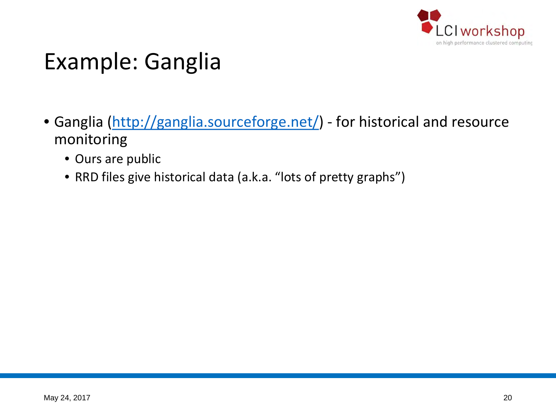

#### Example: Ganglia

- Ganglia [\(http://ganglia.sourceforge.net/](http://ganglia.sourceforge.net/)) for historical and resource monitoring
	- Ours are public
	- RRD files give historical data (a.k.a. "lots of pretty graphs")